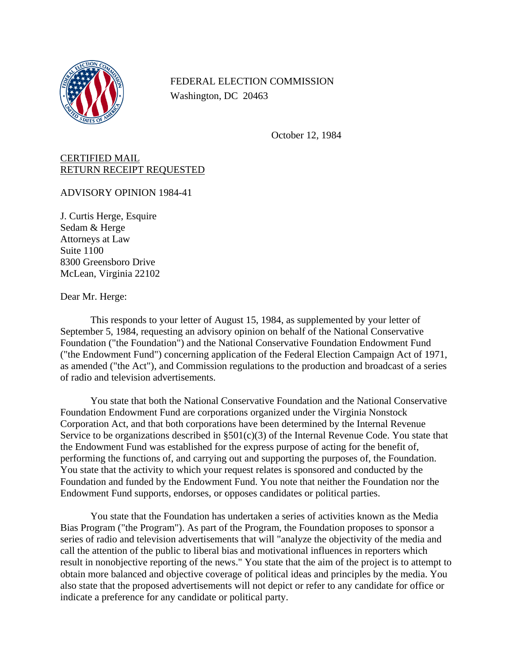

## FEDERAL ELECTION COMMISSION Washington, DC 20463

October 12, 1984

## CERTIFIED MAIL RETURN RECEIPT REQUESTED

ADVISORY OPINION 1984-41

J. Curtis Herge, Esquire Sedam & Herge Attorneys at Law Suite 1100 8300 Greensboro Drive McLean, Virginia 22102

Dear Mr. Herge:

This responds to your letter of August 15, 1984, as supplemented by your letter of September 5, 1984, requesting an advisory opinion on behalf of the National Conservative Foundation ("the Foundation") and the National Conservative Foundation Endowment Fund ("the Endowment Fund") concerning application of the Federal Election Campaign Act of 1971, as amended ("the Act"), and Commission regulations to the production and broadcast of a series of radio and television advertisements.

You state that both the National Conservative Foundation and the National Conservative Foundation Endowment Fund are corporations organized under the Virginia Nonstock Corporation Act, and that both corporations have been determined by the Internal Revenue Service to be organizations described in §501(c)(3) of the Internal Revenue Code. You state that the Endowment Fund was established for the express purpose of acting for the benefit of, performing the functions of, and carrying out and supporting the purposes of, the Foundation. You state that the activity to which your request relates is sponsored and conducted by the Foundation and funded by the Endowment Fund. You note that neither the Foundation nor the Endowment Fund supports, endorses, or opposes candidates or political parties.

You state that the Foundation has undertaken a series of activities known as the Media Bias Program ("the Program"). As part of the Program, the Foundation proposes to sponsor a series of radio and television advertisements that will "analyze the objectivity of the media and call the attention of the public to liberal bias and motivational influences in reporters which result in nonobjective reporting of the news." You state that the aim of the project is to attempt to obtain more balanced and objective coverage of political ideas and principles by the media. You also state that the proposed advertisements will not depict or refer to any candidate for office or indicate a preference for any candidate or political party.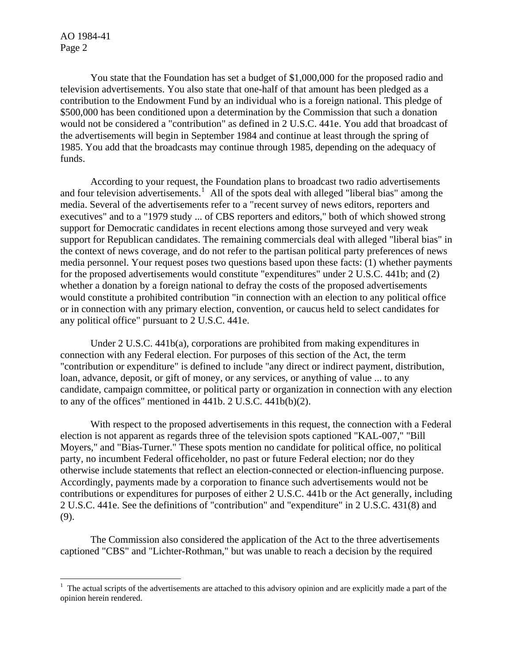AO 1984-41 Page 2

 $\overline{a}$ 

You state that the Foundation has set a budget of \$1,000,000 for the proposed radio and television advertisements. You also state that one-half of that amount has been pledged as a contribution to the Endowment Fund by an individual who is a foreign national. This pledge of \$500,000 has been conditioned upon a determination by the Commission that such a donation would not be considered a "contribution" as defined in 2 U.S.C. 441e. You add that broadcast of the advertisements will begin in September 1984 and continue at least through the spring of 1985. You add that the broadcasts may continue through 1985, depending on the adequacy of funds.

According to your request, the Foundation plans to broadcast two radio advertisements and four television advertisements.<sup>[1](#page-1-0)</sup> All of the spots deal with alleged "liberal bias" among the media. Several of the advertisements refer to a "recent survey of news editors, reporters and executives" and to a "1979 study ... of CBS reporters and editors," both of which showed strong support for Democratic candidates in recent elections among those surveyed and very weak support for Republican candidates. The remaining commercials deal with alleged "liberal bias" in the context of news coverage, and do not refer to the partisan political party preferences of news media personnel. Your request poses two questions based upon these facts: (1) whether payments for the proposed advertisements would constitute "expenditures" under 2 U.S.C. 441b; and (2) whether a donation by a foreign national to defray the costs of the proposed advertisements would constitute a prohibited contribution "in connection with an election to any political office or in connection with any primary election, convention, or caucus held to select candidates for any political office" pursuant to 2 U.S.C. 441e.

Under 2 U.S.C. 441b(a), corporations are prohibited from making expenditures in connection with any Federal election. For purposes of this section of the Act, the term "contribution or expenditure" is defined to include "any direct or indirect payment, distribution, loan, advance, deposit, or gift of money, or any services, or anything of value ... to any candidate, campaign committee, or political party or organization in connection with any election to any of the offices" mentioned in 441b. 2 U.S.C. 441b(b)(2).

With respect to the proposed advertisements in this request, the connection with a Federal election is not apparent as regards three of the television spots captioned "KAL-007," "Bill Moyers," and "Bias-Turner." These spots mention no candidate for political office, no political party, no incumbent Federal officeholder, no past or future Federal election; nor do they otherwise include statements that reflect an election-connected or election-influencing purpose. Accordingly, payments made by a corporation to finance such advertisements would not be contributions or expenditures for purposes of either 2 U.S.C. 441b or the Act generally, including 2 U.S.C. 441e. See the definitions of "contribution" and "expenditure" in 2 U.S.C. 431(8) and (9).

The Commission also considered the application of the Act to the three advertisements captioned "CBS" and "Lichter-Rothman," but was unable to reach a decision by the required

<span id="page-1-0"></span> $<sup>1</sup>$  The actual scripts of the advertisements are attached to this advisory opinion and are explicitly made a part of the</sup> opinion herein rendered.